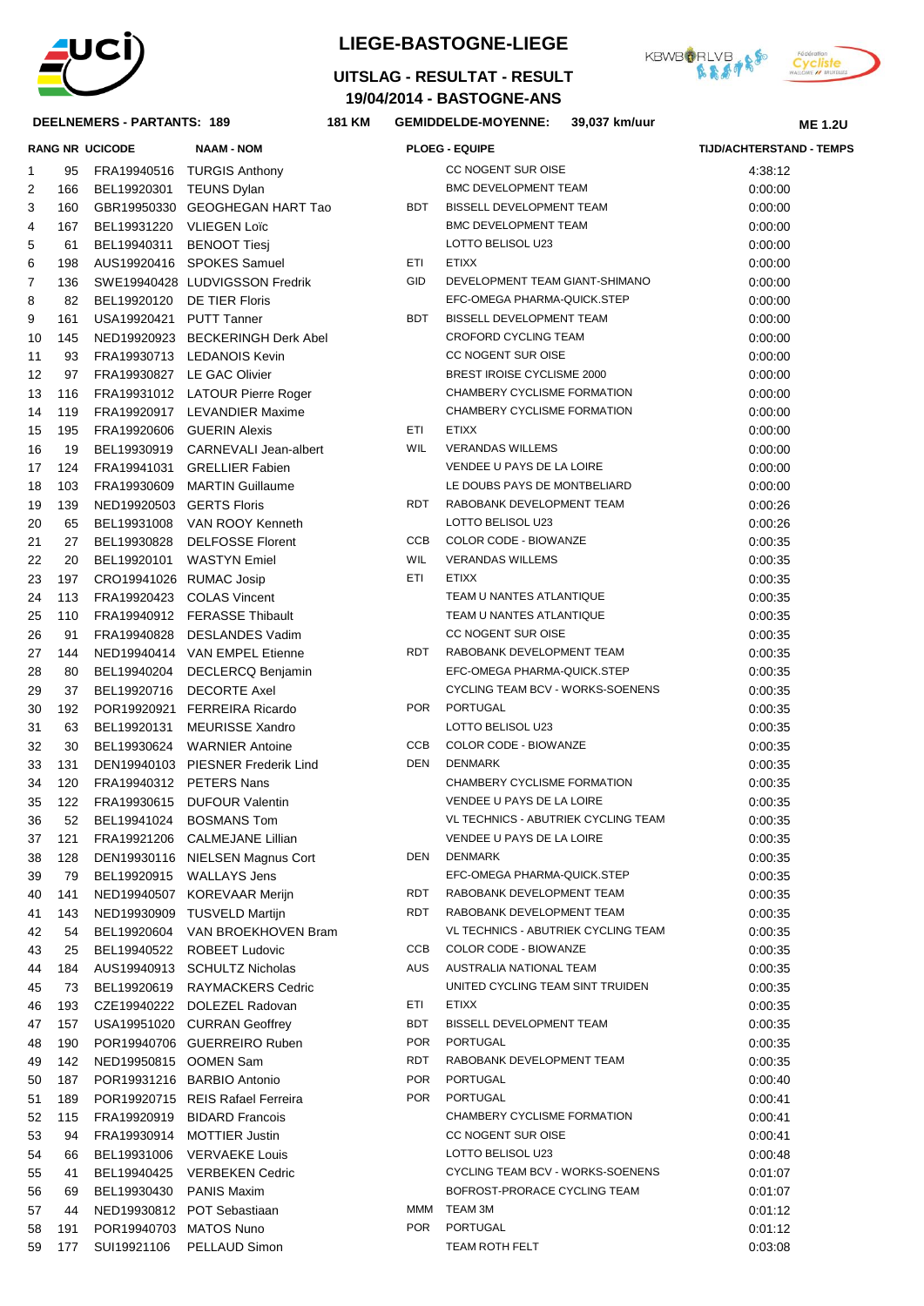

## **DEELNEMERS - PARTANTS: 189 181**

# **LIEGE-BASTOGNE-LIEGE**

**19/04/2014 - BASTOGNE-ANS UITSLAG - RESULTAT - RESULT**

**KM GEMIDDELDE-MOYENNE: 39,037 km/uur**





| <b>RANG NR UCICODE</b> |          |                            | <b>NAAM - NOM</b>                            |            | <b>PLOEG - EQUIPE</b>                   | <b>TIJD/ACHTERSTAND - TEMPS</b> |  |
|------------------------|----------|----------------------------|----------------------------------------------|------------|-----------------------------------------|---------------------------------|--|
| 1                      |          |                            | 95 FRA19940516 TURGIS Anthony                |            | CC NOGENT SUR OISE                      | 4:38:12                         |  |
| 2                      | 166      | BEL19920301 TEUNS Dylan    |                                              |            | <b>BMC DEVELOPMENT TEAM</b>             | 0:00:00                         |  |
| 3                      | 160      |                            | GBR19950330 GEOGHEGAN HART Tao               | BDT        | BISSELL DEVELOPMENT TEAM                | 0:00:00                         |  |
| 4                      | 167      | BEL19931220 VLIEGEN Loïc   |                                              |            | <b>BMC DEVELOPMENT TEAM</b>             | 0:00:00                         |  |
| 5                      | 61       | BEL19940311                | <b>BENOOT Tiesi</b>                          |            | LOTTO BELISOL U23                       | 0:00:00                         |  |
| 6                      | 198      |                            | AUS19920416 SPOKES Samuel                    | ETI        | <b>ETIXX</b>                            | 0:00:00                         |  |
| 7                      | 136      |                            | SWE19940428 LUDVIGSSON Fredrik               | GID        | DEVELOPMENT TEAM GIANT-SHIMANO          | 0:00:00                         |  |
| 8                      | 82       | BEL19920120 DE TIER Floris |                                              |            | EFC-OMEGA PHARMA-QUICK.STEP             | 0:00:00                         |  |
| 9                      | 161      | USA19920421 PUTT Tanner    |                                              | <b>BDT</b> | BISSELL DEVELOPMENT TEAM                | 0:00:00                         |  |
| 10                     | 145      |                            | NED19920923 BECKERINGH Derk Abel             |            | <b>CROFORD CYCLING TEAM</b>             | 0:00:00                         |  |
| 11                     | 93       |                            | FRA19930713 LEDANOIS Kevin                   |            | CC NOGENT SUR OISE                      | 0:00:00                         |  |
| 12                     | 97       |                            | FRA19930827 LE GAC Olivier                   |            | BREST IROISE CYCLISME 2000              | 0:00:00                         |  |
| 13                     | 116      |                            | FRA19931012 LATOUR Pierre Roger              |            | CHAMBERY CYCLISME FORMATION             | 0:00:00                         |  |
| 14                     | 119      |                            | FRA19920917 LEVANDIER Maxime                 |            | CHAMBERY CYCLISME FORMATION             | 0:00:00                         |  |
| 15                     | 195      |                            | FRA19920606 GUERIN Alexis                    | ETI        | <b>ETIXX</b>                            | 0:00:00                         |  |
| 16                     | 19       |                            | BEL19930919 CARNEVALI Jean-albert            | <b>WIL</b> | <b>VERANDAS WILLEMS</b>                 | 0:00:00                         |  |
| 17                     | 124      |                            | FRA19941031 GRELLIER Fabien                  |            | VENDEE U PAYS DE LA LOIRE               | 0:00:00                         |  |
| 18                     | 103      |                            | FRA19930609 MARTIN Guillaume                 |            | LE DOUBS PAYS DE MONTBELIARD            | 0:00:00                         |  |
| 19                     | 139      | NED19920503 GERTS Floris   |                                              | <b>RDT</b> | RABOBANK DEVELOPMENT TEAM               | 0:00:26                         |  |
| 20                     | 65       |                            | BEL19931008 VAN ROOY Kenneth                 |            | LOTTO BELISOL U23                       | 0:00:26                         |  |
| 21                     | 27       | BEL19930828                | <b>DELFOSSE Florent</b>                      | <b>CCB</b> | COLOR CODE - BIOWANZE                   | 0:00:35                         |  |
| 22                     | 20       | BEL19920101                | <b>WASTYN</b> Emiel                          | <b>WIL</b> | <b>VERANDAS WILLEMS</b>                 | 0:00:35                         |  |
| 23                     | 197      | CRO19941026 RUMAC Josip    |                                              | ETI        | <b>ETIXX</b>                            | 0:00:35                         |  |
| 24                     | 113      |                            | FRA19920423 COLAS Vincent                    |            | TEAM U NANTES ATLANTIQUE                | 0:00:35                         |  |
| 25                     | 110      |                            | FRA19940912 FERASSE Thibault                 |            | TEAM U NANTES ATLANTIQUE                | 0:00:35                         |  |
| 26                     | 91       |                            | FRA19940828 DESLANDES Vadim                  |            | CC NOGENT SUR OISE                      | 0:00:35                         |  |
| 27                     | 144      |                            | NED19940414 VAN EMPEL Etienne                | RDT        | RABOBANK DEVELOPMENT TEAM               | 0:00:35                         |  |
| 28                     | 80       | BEL19940204                | DECLERCQ Benjamin                            |            | EFC-OMEGA PHARMA-QUICK.STEP             | 0:00:35                         |  |
| 29                     | 37       | BEL19920716                | <b>DECORTE Axel</b>                          |            | CYCLING TEAM BCV - WORKS-SOENENS        | 0:00:35                         |  |
| 30                     | 192      |                            | POR19920921 FERREIRA Ricardo                 | <b>POR</b> | PORTUGAL                                | 0:00:35                         |  |
| 31                     | 63       | BEL19920131                | <b>MEURISSE Xandro</b>                       |            | LOTTO BELISOL U23                       | 0:00:35                         |  |
| 32                     | 30       | BEL19930624                | <b>WARNIER Antoine</b>                       | CCB        | COLOR CODE - BIOWANZE                   | 0:00:35                         |  |
| 33                     | 131      |                            | DEN19940103 PIESNER Frederik Lind            | DEN        | <b>DENMARK</b>                          | 0:00:35                         |  |
| 34                     | 120      | FRA19940312 PETERS Nans    |                                              |            | CHAMBERY CYCLISME FORMATION             | 0:00:35                         |  |
| 35                     | 122      | FRA19930615                | <b>DUFOUR Valentin</b>                       |            | VENDEE U PAYS DE LA LOIRE               | 0:00:35                         |  |
| 36                     | 52       | BEL19941024                | <b>BOSMANS Tom</b>                           |            | VL TECHNICS - ABUTRIEK CYCLING TEAM     | 0:00:35                         |  |
| 37                     | 121      | FRA19921206                | <b>CALMEJANE Lillian</b>                     |            | VENDEE U PAYS DE LA LOIRE               | 0:00:35                         |  |
| 38                     | 128      |                            | DEN19930116 NIELSEN Magnus Cort              | DEN        | <b>DENMARK</b>                          | 0:00:35                         |  |
| 39                     | 79       | BEL19920915                | <b>WALLAYS Jens</b>                          |            | EFC-OMEGA PHARMA-QUICK.STEP             | 0:00:35                         |  |
| 40                     | 141      |                            | NED19940507 KOREVAAR Merijn                  | RDT        | RABOBANK DEVELOPMENT TEAM               | 0:00:35                         |  |
| 41                     | 143      |                            | NED19930909 TUSVELD Martijn                  | RDT        | RABOBANK DEVELOPMENT TEAM               | 0:00:35                         |  |
| 42                     | 54       | BEL19920604                | VAN BROEKHOVEN Bram                          |            | VL TECHNICS - ABUTRIEK CYCLING TEAM     | 0:00:35                         |  |
| 43                     | 25       | BEL19940522                | <b>ROBEET Ludovic</b>                        | CCB        | COLOR CODE - BIOWANZE                   | 0:00:35                         |  |
| 44                     | 184      |                            | AUS19940913 SCHULTZ Nicholas                 | AUS        | AUSTRALIA NATIONAL TEAM                 | 0:00:35                         |  |
| 45                     | 73       | BEL19920619                | <b>RAYMACKERS Cedric</b>                     |            | UNITED CYCLING TEAM SINT TRUIDEN        | 0:00:35                         |  |
| 46                     | 193      | CZE19940222                | DOLEZEL Radovan                              | ETI        | <b>ETIXX</b>                            | 0:00:35                         |  |
| 47                     | 157      |                            | USA19951020 CURRAN Geoffrey                  | <b>BDT</b> | BISSELL DEVELOPMENT TEAM                | 0:00:35                         |  |
| 48                     | 190      |                            | POR19940706 GUERREIRO Ruben                  | <b>POR</b> | PORTUGAL                                | 0:00:35                         |  |
| 49                     | 142      | NED19950815 OOMEN Sam      |                                              | RDT        | RABOBANK DEVELOPMENT TEAM               | 0:00:35                         |  |
| 50                     | 187      |                            | POR19931216 BARBIO Antonio                   | <b>POR</b> | PORTUGAL                                | 0:00:40                         |  |
| 51                     | 189      |                            | POR19920715 REIS Rafael Ferreira             | <b>POR</b> | PORTUGAL                                | 0:00:41                         |  |
| 52                     | 115      | FRA19920919                | <b>BIDARD Francois</b>                       |            | CHAMBERY CYCLISME FORMATION             | 0:00:41                         |  |
| 53                     | 94       | FRA19930914                | <b>MOTTIER Justin</b>                        |            | CC NOGENT SUR OISE<br>LOTTO BELISOL U23 | 0:00:41                         |  |
| 54                     | 66       | BEL19931006                | <b>VERVAEKE Louis</b>                        |            | CYCLING TEAM BCV - WORKS-SOENENS        | 0:00:48                         |  |
| 55<br>56               | 41<br>69 | BEL19940425<br>BEL19930430 | <b>VERBEKEN Cedric</b><br><b>PANIS Maxim</b> |            | BOFROST-PRORACE CYCLING TEAM            | 0:01:07<br>0:01:07              |  |
| 57                     | 44       |                            | NED19930812 POT Sebastiaan                   | MMM        | TEAM 3M                                 | 0:01:12                         |  |
| 58                     | 191      | POR19940703 MATOS Nuno     |                                              | <b>POR</b> | PORTUGAL                                | 0:01:12                         |  |
| 59                     | 177      |                            | SUI19921106 PELLAUD Simon                    |            | TEAM ROTH FELT                          | 0:03:08                         |  |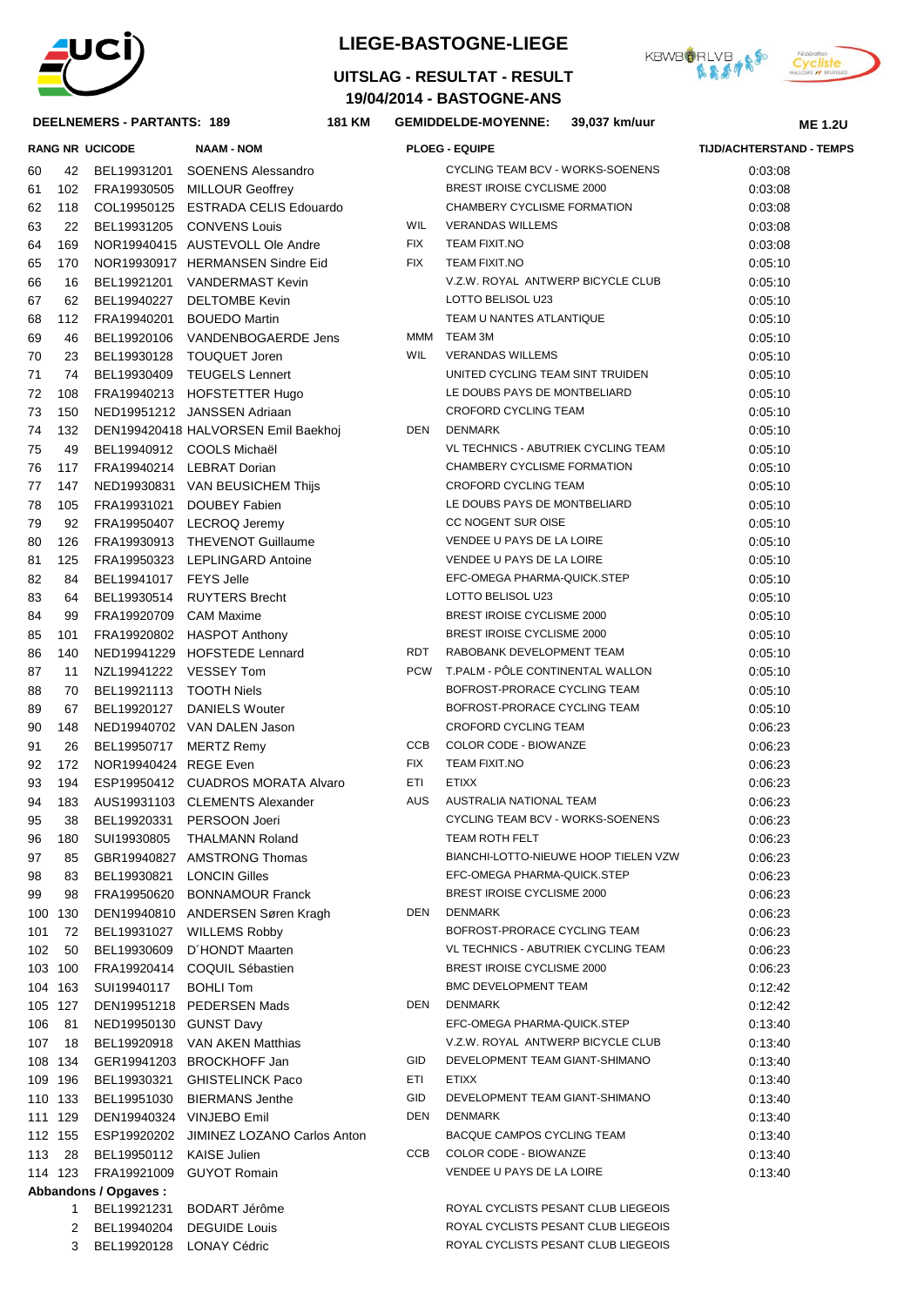

## **LIEGE-BASTOGNE-LIEGE**





#### DEELNEMERS - PARTANTS: 189

| <b>DEELNEMERS - PARTANTS: 189</b> |         | <b>181 KM</b>               | 39,037 km/uur<br><b>GEMIDDELDE-MOYENNE:</b> |            |                                      | <b>ME 1.2U</b> |                                 |  |
|-----------------------------------|---------|-----------------------------|---------------------------------------------|------------|--------------------------------------|----------------|---------------------------------|--|
|                                   |         | <b>RANG NR UCICODE</b>      | <b>NAAM - NOM</b>                           |            | <b>PLOEG - EQUIPE</b>                |                | <b>TIJD/ACHTERSTAND - TEMPS</b> |  |
| 60                                | 42      | BEL19931201                 | <b>SOENENS Alessandro</b>                   |            | CYCLING TEAM BCV - WORKS-SOENENS     |                | 0:03:08                         |  |
| 61                                | 102     |                             | FRA19930505 MILLOUR Geoffrey                |            | BREST IROISE CYCLISME 2000           |                | 0:03:08                         |  |
| 62                                | 118     |                             | COL19950125 ESTRADA CELIS Edouardo          |            | CHAMBERY CYCLISME FORMATION          |                | 0:03:08                         |  |
| 63                                | 22      |                             | BEL19931205 CONVENS Louis                   | <b>WIL</b> | <b>VERANDAS WILLEMS</b>              |                | 0:03:08                         |  |
| 64                                | 169     |                             | NOR19940415 AUSTEVOLL Ole Andre             | <b>FIX</b> | <b>TEAM FIXIT.NO</b>                 |                | 0:03:08                         |  |
| 65                                | 170     |                             | NOR19930917 HERMANSEN Sindre Eid            | FIX        | <b>TEAM FIXIT.NO</b>                 |                | 0:05:10                         |  |
| 66                                | 16      |                             | BEL19921201 VANDERMAST Kevin                |            | V.Z.W. ROYAL ANTWERP BICYCLE CLUB    |                | 0:05:10                         |  |
| 67                                | 62      |                             | BEL19940227 DELTOMBE Kevin                  |            | LOTTO BELISOL U23                    |                | 0:05:10                         |  |
| 68                                | 112     |                             | FRA19940201 BOUEDO Martin                   |            | TEAM U NANTES ATLANTIQUE             |                | 0:05:10                         |  |
| 69                                | 46      |                             | BEL19920106 VANDENBOGAERDE Jens             |            | MMM TEAM 3M                          |                | 0:05:10                         |  |
| 70                                | 23      |                             | BEL19930128 TOUQUET Joren                   | WIL        | <b>VERANDAS WILLEMS</b>              |                | 0:05:10                         |  |
| 71                                | 74      |                             | BEL19930409 TEUGELS Lennert                 |            | UNITED CYCLING TEAM SINT TRUIDEN     |                | 0:05:10                         |  |
| 72                                | 108     |                             | FRA19940213 HOFSTETTER Hugo                 |            | LE DOUBS PAYS DE MONTBELIARD         |                | 0:05:10                         |  |
| 73                                | 150     |                             | NED19951212 JANSSEN Adriaan                 |            | CROFORD CYCLING TEAM                 |                | 0:05:10                         |  |
| 74                                | 132     |                             | DEN199420418 HALVORSEN Emil Baekhoj         | DEN        | <b>DENMARK</b>                       |                | 0:05:10                         |  |
| 75                                | 49      |                             | BEL19940912 COOLS Michaël                   |            | VL TECHNICS - ABUTRIEK CYCLING TEAM  |                | 0:05:10                         |  |
| 76                                | 117     |                             | FRA19940214 LEBRAT Dorian                   |            | CHAMBERY CYCLISME FORMATION          |                | 0:05:10                         |  |
| 77                                | 147     |                             | NED19930831 VAN BEUSICHEM Thijs             |            | <b>CROFORD CYCLING TEAM</b>          |                | 0:05:10                         |  |
| 78                                | 105     |                             | FRA19931021 DOUBEY Fabien                   |            | LE DOUBS PAYS DE MONTBELIARD         |                | 0:05:10                         |  |
| 79                                | 92      |                             | FRA19950407 LECROQ Jeremy                   |            | CC NOGENT SUR OISE                   |                | 0:05:10                         |  |
| 80                                | 126     |                             | FRA19930913 THEVENOT Guillaume              |            | VENDEE U PAYS DE LA LOIRE            |                | 0:05:10                         |  |
| 81                                | 125     |                             | FRA19950323 LEPLINGARD Antoine              |            | VENDEE U PAYS DE LA LOIRE            |                | 0:05:10                         |  |
| 82                                | 84      | BEL19941017 FEYS Jelle      |                                             |            | EFC-OMEGA PHARMA-QUICK.STEP          |                | 0:05:10                         |  |
| 83                                | 64      |                             | BEL19930514 RUYTERS Brecht                  |            | LOTTO BELISOL U23                    |                | 0:05:10                         |  |
| 84                                | 99      | FRA19920709 CAM Maxime      |                                             |            | BREST IROISE CYCLISME 2000           |                | 0:05:10                         |  |
| 85                                | 101     |                             | FRA19920802 HASPOT Anthony                  |            | BREST IROISE CYCLISME 2000           |                | 0:05:10                         |  |
| 86                                | 140     |                             | NED19941229 HOFSTEDE Lennard                | RDT        | RABOBANK DEVELOPMENT TEAM            |                | 0:05:10                         |  |
| 87                                | 11      | NZL19941222 VESSEY Tom      |                                             | PCW        | T.PALM - POLE CONTINENTAL WALLON     |                | 0:05:10                         |  |
| 88                                | 70      | BEL19921113 TOOTH Niels     |                                             |            | BOFROST-PRORACE CYCLING TEAM         |                | 0:05:10                         |  |
| 89                                | 67      |                             | BEL19920127 DANIELS Wouter                  |            | BOFROST-PRORACE CYCLING TEAM         |                | 0:05:10                         |  |
| 90                                | 148     |                             | NED19940702 VAN DALEN Jason                 |            | CROFORD CYCLING TEAM                 |                | 0:06:23                         |  |
| 91                                | 26      | BEL19950717 MERTZ Remy      |                                             | CCB        | COLOR CODE - BIOWANZE                |                | 0:06:23                         |  |
| 92                                | 172     | NOR19940424 REGE Even       |                                             | <b>FIX</b> | <b>TEAM FIXIT.NO</b>                 |                | 0:06:23                         |  |
| 93                                | 194     |                             | ESP19950412 CUADROS MORATA Alvaro           | ETI        | <b>ETIXX</b>                         |                | 0:06:23                         |  |
| 94                                | 183     |                             | AUS19931103 CLEMENTS Alexander              | <b>AUS</b> | AUSTRALIA NATIONAL TEAM              |                | 0:06:23                         |  |
| 95                                | 38      |                             | BEL19920331 PERSOON Joeri                   |            | CYCLING TEAM BCV - WORKS-SOENENS     |                | 0:06:23                         |  |
| 96                                | 180     | SUI19930805                 | <b>THALMANN Roland</b>                      |            | <b>TEAM ROTH FELT</b>                |                | 0:06:23                         |  |
| 97                                | 85      |                             | GBR19940827 AMSTRONG Thomas                 |            | BIANCHI-LOTTO-NIEUWE HOOP TIELEN VZW |                | 0:06:23                         |  |
| 98                                | 83      | BEL19930821 LONCIN Gilles   |                                             |            | EFC-OMEGA PHARMA-QUICK.STEP          |                | 0:06:23                         |  |
| 99                                | 98      |                             | FRA19950620 BONNAMOUR Franck                |            | BREST IROISE CYCLISME 2000           |                | 0:06:23                         |  |
| 100                               | 130     |                             | DEN19940810 ANDERSEN Søren Kragh            | DEN        | DENMARK                              |                | 0:06:23                         |  |
| 101                               | 72      | BEL19931027                 | <b>WILLEMS Robby</b>                        |            | BOFROST-PRORACE CYCLING TEAM         |                | 0:06:23                         |  |
| 102                               | 50      | BEL19930609                 | D'HONDT Maarten                             |            | VL TECHNICS - ABUTRIEK CYCLING TEAM  |                | 0:06:23                         |  |
|                                   | 103 100 |                             | FRA19920414 COQUIL Sébastien                |            | BREST IROISE CYCLISME 2000           |                | 0:06:23                         |  |
|                                   | 104 163 | SUI19940117                 | <b>BOHLI Tom</b>                            |            | <b>BMC DEVELOPMENT TEAM</b>          |                | 0:12:42                         |  |
|                                   | 105 127 |                             | DEN19951218 PEDERSEN Mads                   | DEN        | <b>DENMARK</b>                       |                | 0:12:42                         |  |
| 106                               | 81      | NED19950130 GUNST Davy      |                                             |            | EFC-OMEGA PHARMA-QUICK.STEP          |                | 0:13:40                         |  |
| 107                               | 18      |                             | BEL19920918 VAN AKEN Matthias               |            | V.Z.W. ROYAL ANTWERP BICYCLE CLUB    |                | 0:13:40                         |  |
| 108                               | 134     |                             | GER19941203 BROCKHOFF Jan                   | <b>GID</b> | DEVELOPMENT TEAM GIANT-SHIMANO       |                | 0:13:40                         |  |
|                                   | 109 196 | BEL19930321                 | <b>GHISTELINCK Paco</b>                     | ETI        | <b>ETIXX</b>                         |                | 0:13:40                         |  |
|                                   | 110 133 | BEL19951030                 | <b>BIERMANS Jenthe</b>                      | GID        | DEVELOPMENT TEAM GIANT-SHIMANO       |                | 0:13:40                         |  |
|                                   | 111 129 | DEN19940324 VINJEBO Emil    |                                             | <b>DEN</b> | <b>DENMARK</b>                       |                | 0:13:40                         |  |
|                                   | 112 155 |                             | ESP19920202 JIMINEZ LOZANO Carlos Anton     |            | BACQUE CAMPOS CYCLING TEAM           |                | 0:13:40                         |  |
| 113                               | 28      | BEL19950112                 | <b>KAISE Julien</b>                         | CCB        | COLOR CODE - BIOWANZE                |                | 0:13:40                         |  |
|                                   | 114 123 | FRA19921009                 | <b>GUYOT Romain</b>                         |            | VENDEE U PAYS DE LA LOIRE            |                | 0:13:40                         |  |
|                                   |         | Abbandons / Opgaves :       |                                             |            |                                      |                |                                 |  |
|                                   | 1       | BEL19921231                 | <b>BODART Jérôme</b>                        |            | ROYAL CYCLISTS PESANT CLUB LIEGEOIS  |                |                                 |  |
|                                   |         | 2 BEL19940204 DEGUIDE Louis |                                             |            | ROYAL CYCLISTS PESANT CLUB LIEGEOIS  |                |                                 |  |

3 BEL19920128 LONAY Cédric

ROYAL CYCLISTS PESANT CLUB LIEGEOIS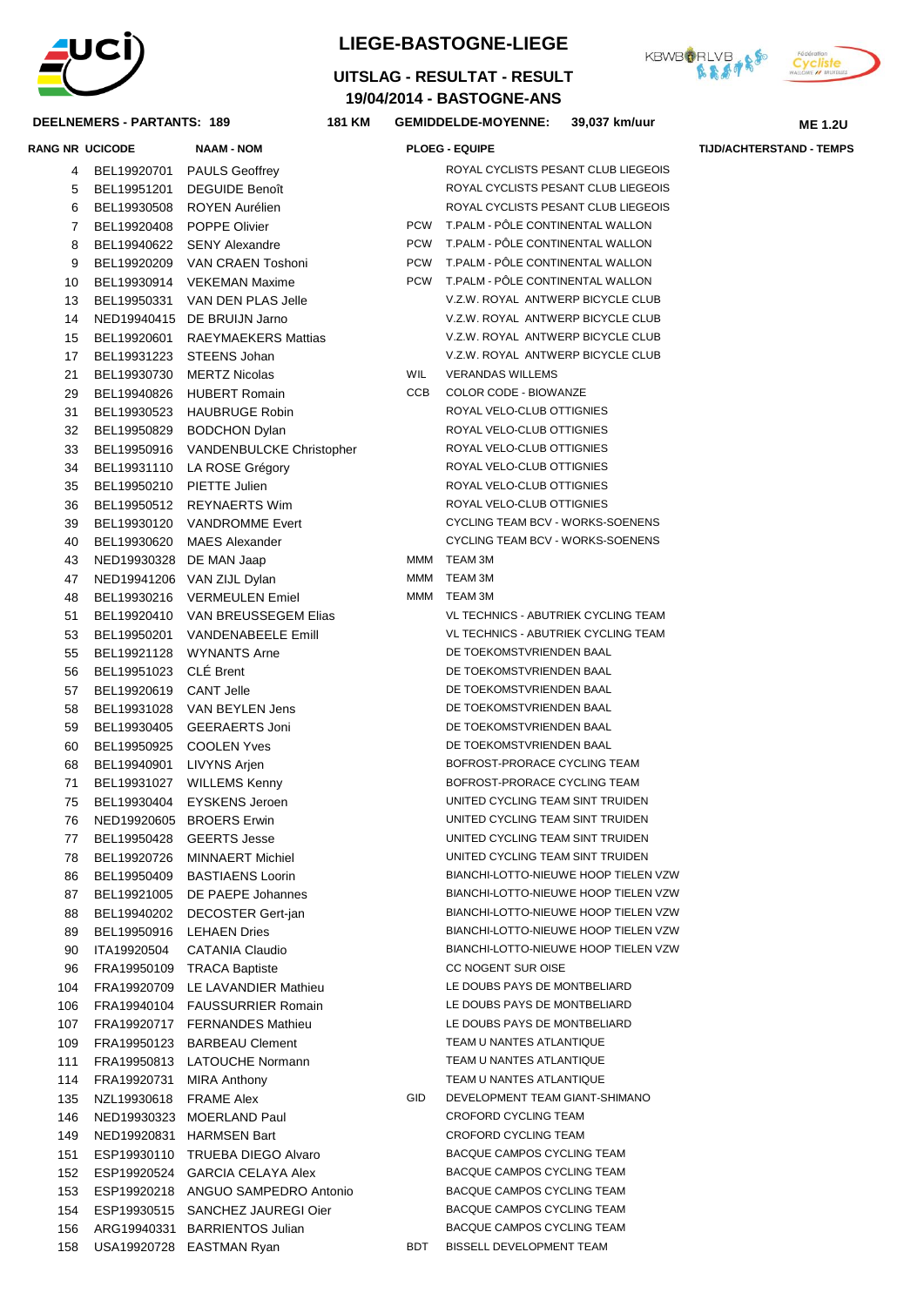

### **DEELNEMERS - PARTA**

## **LIEGE-BASTOGNE-LIEGE**

## **19/04/2014 - BASTOGNE-ANS UITSLAG - RESULTAT - RESULT**



|          | DEELNEMERS - PARTANTS: 189 | 181 KM                                                    |            | <b>GEMIDDELDE-MOYENNE:</b>                                                   | 39,037 km/uur | <b>ME 1.2U</b>                  |
|----------|----------------------------|-----------------------------------------------------------|------------|------------------------------------------------------------------------------|---------------|---------------------------------|
|          | <b>RANG NR UCICODE</b>     | <b>NAAM - NOM</b>                                         |            | <b>PLOEG - EQUIPE</b>                                                        |               | <b>TIJD/ACHTERSTAND - TEMPS</b> |
| 5        | BEL19951201                | 4 BEL19920701 PAULS Geoffrey<br><b>DEGUIDE Benoît</b>     |            | ROYAL CYCLISTS PESANT CLUB LIEGEOIS<br>ROYAL CYCLISTS PESANT CLUB LIEGEOIS   |               |                                 |
| 6        |                            | BEL19930508 ROYEN Aurélien                                |            | ROYAL CYCLISTS PESANT CLUB LIEGEOIS                                          |               |                                 |
| 7        |                            | BEL19920408 POPPE Olivier                                 |            | PCW T.PALM - PÔLE CONTINENTAL WALLON                                         |               |                                 |
| 8        |                            | BEL19940622 SENY Alexandre                                |            | PCW T.PALM - PÖLE CONTINENTAL WALLON                                         |               |                                 |
| 9        |                            | BEL19920209 VAN CRAEN Toshoni                             |            | PCW T.PALM - PÔLE CONTINENTAL WALLON                                         |               |                                 |
| 10       |                            | BEL19930914 VEKEMAN Maxime                                |            | PCW T.PALM - PÔLE CONTINENTAL WALLON                                         |               |                                 |
| 13       |                            | BEL19950331 VAN DEN PLAS Jelle                            |            | V.Z.W. ROYAL ANTWERP BICYCLE CLUB                                            |               |                                 |
| 14       |                            | NED19940415 DE BRUIJN Jarno                               |            | V.Z.W. ROYAL ANTWERP BICYCLE CLUB                                            |               |                                 |
| 15       |                            | BEL19920601 RAEYMAEKERS Mattias                           |            | V.Z.W. ROYAL ANTWERP BICYCLE CLUB                                            |               |                                 |
| 17       |                            | BEL19931223 STEENS Johan                                  | WIL        | V.Z.W. ROYAL ANTWERP BICYCLE CLUB<br><b>VERANDAS WILLEMS</b>                 |               |                                 |
| 21       |                            | BEL19930730 MERTZ Nicolas                                 | CCB        | COLOR CODE - BIOWANZE                                                        |               |                                 |
| 29<br>31 |                            | BEL19940826 HUBERT Romain<br>BEL19930523 HAUBRUGE Robin   |            | ROYAL VELO-CLUB OTTIGNIES                                                    |               |                                 |
| 32       |                            | BEL19950829 BODCHON Dylan                                 |            | ROYAL VELO-CLUB OTTIGNIES                                                    |               |                                 |
| 33       |                            | BEL19950916 VANDENBULCKE Christopher                      |            | ROYAL VELO-CLUB OTTIGNIES                                                    |               |                                 |
| 34       |                            | BEL19931110 LA ROSE Grégory                               |            | ROYAL VELO-CLUB OTTIGNIES                                                    |               |                                 |
| 35       |                            | BEL19950210 PIETTE Julien                                 |            | ROYAL VELO-CLUB OTTIGNIES                                                    |               |                                 |
| 36       |                            | BEL19950512 REYNAERTS Wim                                 |            | ROYAL VELO-CLUB OTTIGNIES                                                    |               |                                 |
| 39       |                            | BEL19930120 VANDROMME Evert                               |            | CYCLING TEAM BCV - WORKS-SOENENS                                             |               |                                 |
| 40       |                            | BEL19930620 MAES Alexander                                |            | CYCLING TEAM BCV - WORKS-SOENENS                                             |               |                                 |
| 43       | NED19930328 DE MAN Jaap    |                                                           |            | MMM TEAM 3M                                                                  |               |                                 |
| 47       |                            | NED19941206 VAN ZIJL Dylan                                | MMM        | TEAM 3M                                                                      |               |                                 |
| 48       |                            | BEL19930216 VERMEULEN Emiel                               | MMM        | TEAM 3M                                                                      |               |                                 |
| 51       |                            | BEL19920410 VAN BREUSSEGEM Elias                          |            | VL TECHNICS - ABUTRIEK CYCLING TEAM                                          |               |                                 |
| 53       |                            | BEL19950201 VANDENABEELE Emill                            |            | VL TECHNICS - ABUTRIEK CYCLING TEAM                                          |               |                                 |
| 55       |                            | BEL19921128 WYNANTS Arne                                  |            | DE TOEKOMSTVRIENDEN BAAL                                                     |               |                                 |
| 56       | BEL19951023 CLÉ Brent      |                                                           |            | DE TOEKOMSTVRIENDEN BAAL                                                     |               |                                 |
| 57       | BEL19920619 CANT Jelle     |                                                           |            | DE TOEKOMSTVRIENDEN BAAL                                                     |               |                                 |
| 58       |                            | BEL19931028 VAN BEYLEN Jens                               |            | DE TOEKOMSTVRIENDEN BAAL                                                     |               |                                 |
| 59       |                            | BEL19930405 GEERAERTS Joni                                |            | DE TOEKOMSTVRIENDEN BAAL                                                     |               |                                 |
| 60       |                            | BEL19950925 COOLEN Yves                                   |            | DE TOEKOMSTVRIENDEN BAAL                                                     |               |                                 |
| 68       | BEL19940901 LIVYNS Arjen   |                                                           |            | BOFROST-PRORACE CYCLING TEAM                                                 |               |                                 |
| 71       |                            | BEL19931027 WILLEMS Kenny                                 |            | BOFROST-PRORACE CYCLING TEAM                                                 |               |                                 |
| 75       |                            | BEL19930404 EYSKENS Jeroen                                |            | UNITED CYCLING TEAM SINT TRUIDEN                                             |               |                                 |
| 76.      |                            | NED19920605 BROERS Erwin                                  |            | UNITED CYCLING TEAM SINT TRUIDEN                                             |               |                                 |
| 77       |                            | BEL19950428 GEERTS Jesse                                  |            | UNITED CYCLING TEAM SINT TRUIDEN                                             |               |                                 |
| 78       |                            | BEL19920726 MINNAERT Michiel                              |            | UNITED CYCLING TEAM SINT TRUIDEN                                             |               |                                 |
| 86       |                            | BEL19950409 BASTIAENS Loorin                              |            | BIANCHI-LOTTO-NIEUWE HOOP TIELEN VZW                                         |               |                                 |
| 87       |                            | BEL19921005 DE PAEPE Johannes                             |            | BIANCHI-LOTTO-NIEUWE HOOP TIELEN VZW                                         |               |                                 |
| 88       |                            | BEL19940202 DECOSTER Gert-jan                             |            | BIANCHI-LOTTO-NIEUWE HOOP TIELEN VZW<br>BIANCHI-LOTTO-NIEUWE HOOP TIELEN VZW |               |                                 |
| 89       |                            | BEL19950916 LEHAEN Dries                                  |            | BIANCHI-LOTTO-NIEUWE HOOP TIELEN VZW                                         |               |                                 |
| 90<br>96 |                            | ITA19920504 CATANIA Claudio<br>FRA19950109 TRACA Baptiste |            | CC NOGENT SUR OISE                                                           |               |                                 |
| 104      |                            | FRA19920709 LE LAVANDIER Mathieu                          |            | LE DOUBS PAYS DE MONTBELIARD                                                 |               |                                 |
| 106      |                            | FRA19940104 FAUSSURRIER Romain                            |            | LE DOUBS PAYS DE MONTBELIARD                                                 |               |                                 |
| 107      |                            | FRA19920717 FERNANDES Mathieu                             |            | LE DOUBS PAYS DE MONTBELIARD                                                 |               |                                 |
| 109      |                            | FRA19950123 BARBEAU Clement                               |            | TEAM U NANTES ATLANTIQUE                                                     |               |                                 |
| 111      |                            | FRA19950813 LATOUCHE Normann                              |            | TEAM U NANTES ATLANTIQUE                                                     |               |                                 |
| 114      |                            | FRA19920731 MIRA Anthony                                  |            | TEAM U NANTES ATLANTIQUE                                                     |               |                                 |
| 135      | NZL19930618 FRAME Alex     |                                                           | <b>GID</b> | DEVELOPMENT TEAM GIANT-SHIMANO                                               |               |                                 |
| 146      |                            | NED19930323 MOERLAND Paul                                 |            | CROFORD CYCLING TEAM                                                         |               |                                 |
| 149      |                            | NED19920831 HARMSEN Bart                                  |            | CROFORD CYCLING TEAM                                                         |               |                                 |
| 151      |                            | ESP19930110 TRUEBA DIEGO Alvaro                           |            | BACQUE CAMPOS CYCLING TEAM                                                   |               |                                 |
| 152      |                            | ESP19920524 GARCIA CELAYA Alex                            |            | BACQUE CAMPOS CYCLING TEAM                                                   |               |                                 |
| 153      |                            | ESP19920218 ANGUO SAMPEDRO Antonio                        |            | BACQUE CAMPOS CYCLING TEAM                                                   |               |                                 |
| 154      |                            | ESP19930515 SANCHEZ JAUREGI Oier                          |            | BACQUE CAMPOS CYCLING TEAM                                                   |               |                                 |
| 156      |                            | ARG19940331 BARRIENTOS Julian                             |            | BACQUE CAMPOS CYCLING TEAM                                                   |               |                                 |
| 158      |                            | USA19920728 EASTMAN Ryan                                  | BDT        | BISSELL DEVELOPMENT TEAM                                                     |               |                                 |